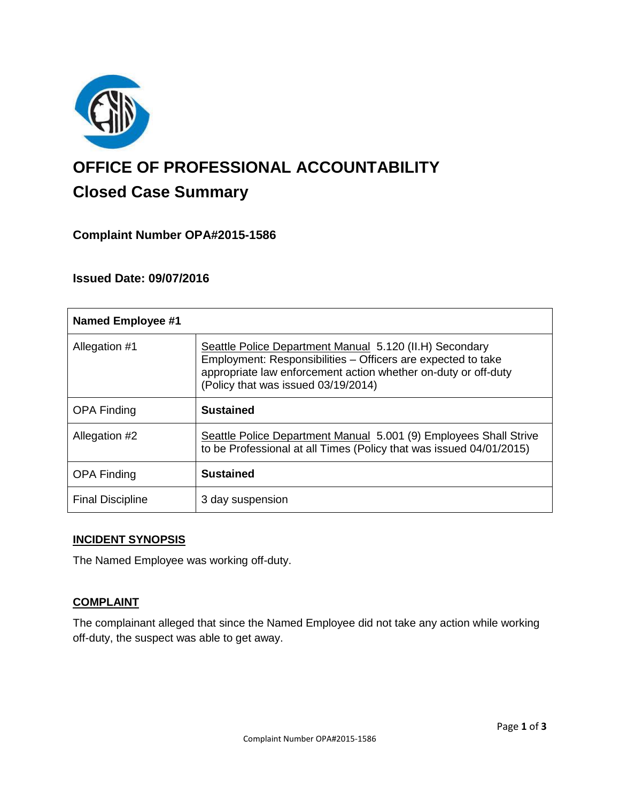

# **OFFICE OF PROFESSIONAL ACCOUNTABILITY Closed Case Summary**

# **Complaint Number OPA#2015-1586**

## **Issued Date: 09/07/2016**

| <b>Named Employee #1</b> |                                                                                                                                                                                                                                  |
|--------------------------|----------------------------------------------------------------------------------------------------------------------------------------------------------------------------------------------------------------------------------|
| Allegation #1            | Seattle Police Department Manual 5.120 (II.H) Secondary<br>Employment: Responsibilities - Officers are expected to take<br>appropriate law enforcement action whether on-duty or off-duty<br>(Policy that was issued 03/19/2014) |
| <b>OPA Finding</b>       | <b>Sustained</b>                                                                                                                                                                                                                 |
| Allegation #2            | Seattle Police Department Manual 5.001 (9) Employees Shall Strive<br>to be Professional at all Times (Policy that was issued 04/01/2015)                                                                                         |
| <b>OPA Finding</b>       | <b>Sustained</b>                                                                                                                                                                                                                 |
| <b>Final Discipline</b>  | 3 day suspension                                                                                                                                                                                                                 |

### **INCIDENT SYNOPSIS**

The Named Employee was working off-duty.

## **COMPLAINT**

The complainant alleged that since the Named Employee did not take any action while working off-duty, the suspect was able to get away.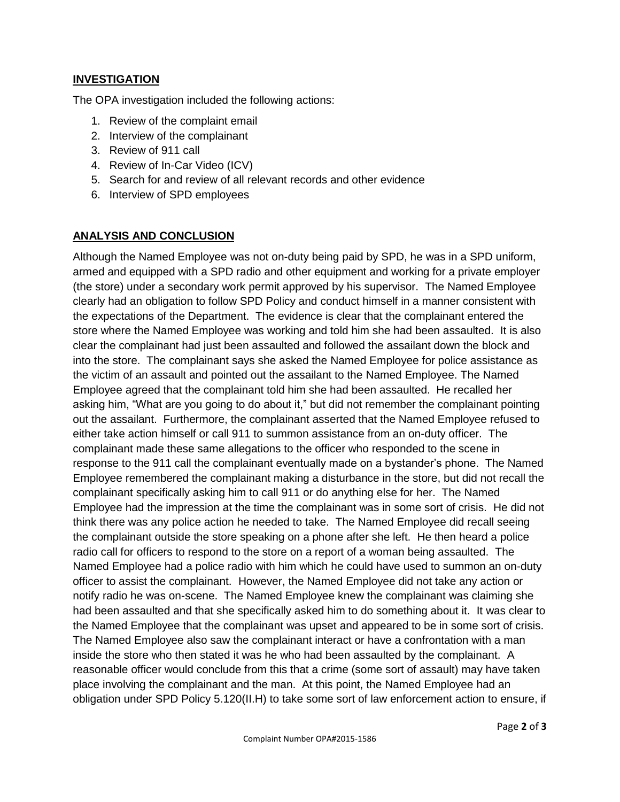## **INVESTIGATION**

The OPA investigation included the following actions:

- 1. Review of the complaint email
- 2. Interview of the complainant
- 3. Review of 911 call
- 4. Review of In-Car Video (ICV)
- 5. Search for and review of all relevant records and other evidence
- 6. Interview of SPD employees

### **ANALYSIS AND CONCLUSION**

Although the Named Employee was not on-duty being paid by SPD, he was in a SPD uniform, armed and equipped with a SPD radio and other equipment and working for a private employer (the store) under a secondary work permit approved by his supervisor. The Named Employee clearly had an obligation to follow SPD Policy and conduct himself in a manner consistent with the expectations of the Department. The evidence is clear that the complainant entered the store where the Named Employee was working and told him she had been assaulted. It is also clear the complainant had just been assaulted and followed the assailant down the block and into the store. The complainant says she asked the Named Employee for police assistance as the victim of an assault and pointed out the assailant to the Named Employee. The Named Employee agreed that the complainant told him she had been assaulted. He recalled her asking him, "What are you going to do about it," but did not remember the complainant pointing out the assailant. Furthermore, the complainant asserted that the Named Employee refused to either take action himself or call 911 to summon assistance from an on-duty officer. The complainant made these same allegations to the officer who responded to the scene in response to the 911 call the complainant eventually made on a bystander's phone. The Named Employee remembered the complainant making a disturbance in the store, but did not recall the complainant specifically asking him to call 911 or do anything else for her. The Named Employee had the impression at the time the complainant was in some sort of crisis. He did not think there was any police action he needed to take. The Named Employee did recall seeing the complainant outside the store speaking on a phone after she left. He then heard a police radio call for officers to respond to the store on a report of a woman being assaulted. The Named Employee had a police radio with him which he could have used to summon an on-duty officer to assist the complainant. However, the Named Employee did not take any action or notify radio he was on-scene. The Named Employee knew the complainant was claiming she had been assaulted and that she specifically asked him to do something about it. It was clear to the Named Employee that the complainant was upset and appeared to be in some sort of crisis. The Named Employee also saw the complainant interact or have a confrontation with a man inside the store who then stated it was he who had been assaulted by the complainant. A reasonable officer would conclude from this that a crime (some sort of assault) may have taken place involving the complainant and the man. At this point, the Named Employee had an obligation under SPD Policy 5.120(II.H) to take some sort of law enforcement action to ensure, if